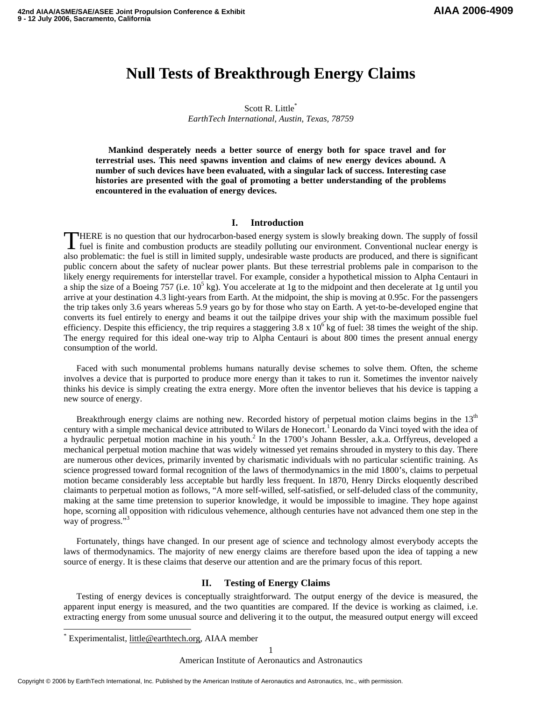# **Null Tests of Breakthrough Energy Claims**

Scott R. Little\* *EarthTech International, Austin, Texas, 78759* 

**Mankind desperately needs a better source of energy both for space travel and for terrestrial uses. This need spawns invention and claims of new energy devices abound. A number of such devices have been evaluated, with a singular lack of success. Interesting case histories are presented with the goal of promoting a better understanding of the problems encountered in the evaluation of energy devices.** 

### **I. Introduction**

**THERE** is no question that our hydrocarbon-based energy system is slowly breaking down. The supply of fossil THERE is no question that our hydrocarbon-based energy system is slowly breaking down. The supply of fossil fuel is finite and combustion products are steadily polluting our environment. Conventional nuclear energy is also problematic: the fuel is still in limited supply, undesirable waste products are produced, and there is significant public concern about the safety of nuclear power plants. But these terrestrial problems pale in comparison to the likely energy requirements for interstellar travel. For example, consider a hypothetical mission to Alpha Centauri in a ship the size of a Boeing 757 (i.e.  $10^5$  kg). You accelerate at 1g to the midpoint and then decelerate at 1g until you arrive at your destination 4.3 light-years from Earth. At the midpoint, the ship is moving at 0.95c. For the passengers the trip takes only 3.6 years whereas 5.9 years go by for those who stay on Earth. A yet-to-be-developed engine that converts its fuel entirely to energy and beams it out the tailpipe drives your ship with the maximum possible fuel efficiency. Despite this efficiency, the trip requires a staggering  $3.8 \times 10^6$  kg of fuel: 38 times the weight of the ship. The energy required for this ideal one-way trip to Alpha Centauri is about 800 times the present annual energy consumption of the world.

Faced with such monumental problems humans naturally devise schemes to solve them. Often, the scheme involves a device that is purported to produce more energy than it takes to run it. Sometimes the inventor naively thinks his device is simply creating the extra energy. More often the inventor believes that his device is tapping a new source of energy.

Breakthrough energy claims are nothing new. Recorded history of perpetual motion claims begins in the 13<sup>th</sup> century with a simple mechanical device attributed to Wilars de Honecort.<sup>1</sup> Leonardo da Vinci toyed with the idea of a hydraulic perpetual motion machine in his youth.<sup>2</sup> In the 1700's Johann Bessler, a.k.a. Orffyreus, developed a mechanical perpetual motion machine that was widely witnessed yet remains shrouded in mystery to this day. There are numerous other devices, primarily invented by charismatic individuals with no particular scientific training. As science progressed toward formal recognition of the laws of thermodynamics in the mid 1800's, claims to perpetual motion became considerably less acceptable but hardly less frequent. In 1870, Henry Dircks eloquently described claimants to perpetual motion as follows, "A more self-willed, self-satisfied, or self-deluded class of the community, making at the same time pretension to superior knowledge, it would be impossible to imagine. They hope against hope, scorning all opposition with ridiculous vehemence, although centuries have not advanced them one step in the way of progress."<sup>3</sup>

Fortunately, things have changed. In our present age of science and technology almost everybody accepts the laws of thermodynamics. The majority of new energy claims are therefore based upon the idea of tapping a new source of energy. It is these claims that deserve our attention and are the primary focus of this report.

## **II. Testing of Energy Claims**

Testing of energy devices is conceptually straightforward. The output energy of the device is measured, the apparent input energy is measured, and the two quantities are compared. If the device is working as claimed, i.e. extracting energy from some unusual source and delivering it to the output, the measured output energy will exceed

 $\overline{a}$ 

American Institute of Aeronautics and Astronautics

<sup>\*</sup> Experimentalist, little@earthtech.org, AIAA member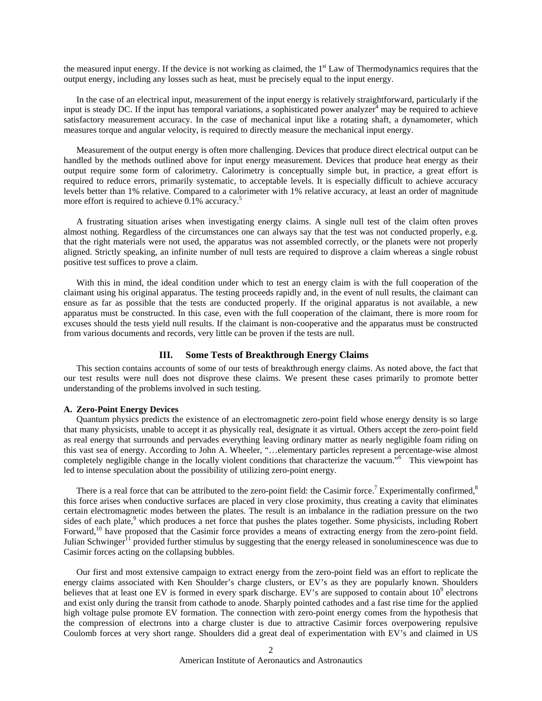the measured input energy. If the device is not working as claimed, the  $1<sup>st</sup>$  Law of Thermodynamics requires that the output energy, including any losses such as heat, must be precisely equal to the input energy.

In the case of an electrical input, measurement of the input energy is relatively straightforward, particularly if the input is steady DC. If the input has temporal variations, a sophisticated power analyzer $4$  may be required to achieve satisfactory measurement accuracy. In the case of mechanical input like a rotating shaft, a dynamometer, which measures torque and angular velocity, is required to directly measure the mechanical input energy.

Measurement of the output energy is often more challenging. Devices that produce direct electrical output can be handled by the methods outlined above for input energy measurement. Devices that produce heat energy as their output require some form of calorimetry. Calorimetry is conceptually simple but, in practice, a great effort is required to reduce errors, primarily systematic, to acceptable levels. It is especially difficult to achieve accuracy levels better than 1% relative. Compared to a calorimeter with 1% relative accuracy, at least an order of magnitude more effort is required to achieve 0.1% accuracy.<sup>5</sup>

A frustrating situation arises when investigating energy claims. A single null test of the claim often proves almost nothing. Regardless of the circumstances one can always say that the test was not conducted properly, e.g. that the right materials were not used, the apparatus was not assembled correctly, or the planets were not properly aligned. Strictly speaking, an infinite number of null tests are required to disprove a claim whereas a single robust positive test suffices to prove a claim.

With this in mind, the ideal condition under which to test an energy claim is with the full cooperation of the claimant using his original apparatus. The testing proceeds rapidly and, in the event of null results, the claimant can ensure as far as possible that the tests are conducted properly. If the original apparatus is not available, a new apparatus must be constructed. In this case, even with the full cooperation of the claimant, there is more room for excuses should the tests yield null results. If the claimant is non-cooperative and the apparatus must be constructed from various documents and records, very little can be proven if the tests are null.

### **III. Some Tests of Breakthrough Energy Claims**

This section contains accounts of some of our tests of breakthrough energy claims. As noted above, the fact that our test results were null does not disprove these claims. We present these cases primarily to promote better understanding of the problems involved in such testing.

## **A. Zero-Point Energy Devices**

Quantum physics predicts the existence of an electromagnetic zero-point field whose energy density is so large that many physicists, unable to accept it as physically real, designate it as virtual. Others accept the zero-point field as real energy that surrounds and pervades everything leaving ordinary matter as nearly negligible foam riding on this vast sea of energy. According to John A. Wheeler, "…elementary particles represent a percentage-wise almost completely negligible change in the locally violent conditions that characterize the vacuum.<sup>56</sup> This viewpoint has led to intense speculation about the possibility of utilizing zero-point energy.

There is a real force that can be attributed to the zero-point field: the Casimir force.<sup>7</sup> Experimentally confirmed,<sup>8</sup> this force arises when conductive surfaces are placed in very close proximity, thus creating a cavity that eliminates certain electromagnetic modes between the plates. The result is an imbalance in the radiation pressure on the two sides of each plate,<sup>9</sup> which produces a net force that pushes the plates together. Some physicists, including Robert Forward,<sup>10</sup> have proposed that the Casimir force provides a means of extracting energy from the zero-point field. Julian Schwinger<sup>11</sup> provided further stimulus by suggesting that the energy released in sonoluminescence was due to Casimir forces acting on the collapsing bubbles.

Our first and most extensive campaign to extract energy from the zero-point field was an effort to replicate the energy claims associated with Ken Shoulder's charge clusters, or EV's as they are popularly known. Shoulders believes that at least one EV is formed in every spark discharge. EV's are supposed to contain about  $10^9$  electrons and exist only during the transit from cathode to anode. Sharply pointed cathodes and a fast rise time for the applied high voltage pulse promote EV formation. The connection with zero-point energy comes from the hypothesis that the compression of electrons into a charge cluster is due to attractive Casimir forces overpowering repulsive Coulomb forces at very short range. Shoulders did a great deal of experimentation with EV's and claimed in US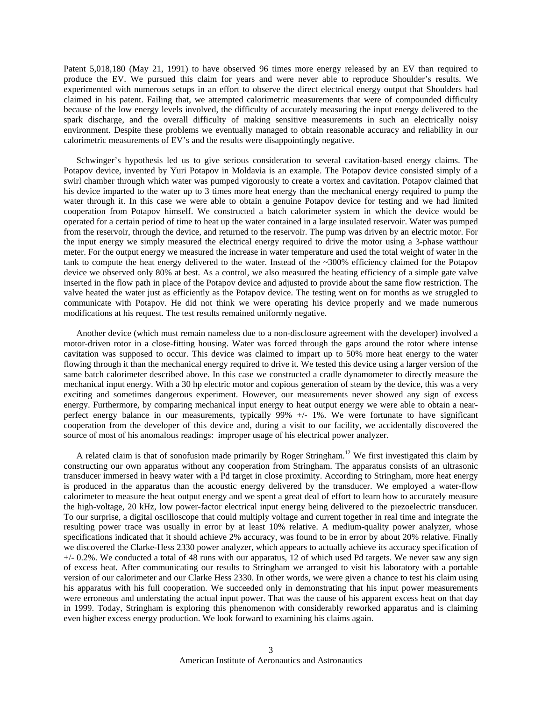Patent 5,018,180 (May 21, 1991) to have observed 96 times more energy released by an EV than required to produce the EV. We pursued this claim for years and were never able to reproduce Shoulder's results. We experimented with numerous setups in an effort to observe the direct electrical energy output that Shoulders had claimed in his patent. Failing that, we attempted calorimetric measurements that were of compounded difficulty because of the low energy levels involved, the difficulty of accurately measuring the input energy delivered to the spark discharge, and the overall difficulty of making sensitive measurements in such an electrically noisy environment. Despite these problems we eventually managed to obtain reasonable accuracy and reliability in our calorimetric measurements of EV's and the results were disappointingly negative.

Schwinger's hypothesis led us to give serious consideration to several cavitation-based energy claims. The Potapov device, invented by Yuri Potapov in Moldavia is an example. The Potapov device consisted simply of a swirl chamber through which water was pumped vigorously to create a vortex and cavitation. Potapov claimed that his device imparted to the water up to 3 times more heat energy than the mechanical energy required to pump the water through it. In this case we were able to obtain a genuine Potapov device for testing and we had limited cooperation from Potapov himself. We constructed a batch calorimeter system in which the device would be operated for a certain period of time to heat up the water contained in a large insulated reservoir. Water was pumped from the reservoir, through the device, and returned to the reservoir. The pump was driven by an electric motor. For the input energy we simply measured the electrical energy required to drive the motor using a 3-phase watthour meter. For the output energy we measured the increase in water temperature and used the total weight of water in the tank to compute the heat energy delivered to the water. Instead of the ~300% efficiency claimed for the Potapov device we observed only 80% at best. As a control, we also measured the heating efficiency of a simple gate valve inserted in the flow path in place of the Potapov device and adjusted to provide about the same flow restriction. The valve heated the water just as efficiently as the Potapov device. The testing went on for months as we struggled to communicate with Potapov. He did not think we were operating his device properly and we made numerous modifications at his request. The test results remained uniformly negative.

Another device (which must remain nameless due to a non-disclosure agreement with the developer) involved a motor-driven rotor in a close-fitting housing. Water was forced through the gaps around the rotor where intense cavitation was supposed to occur. This device was claimed to impart up to 50% more heat energy to the water flowing through it than the mechanical energy required to drive it. We tested this device using a larger version of the same batch calorimeter described above. In this case we constructed a cradle dynamometer to directly measure the mechanical input energy. With a 30 hp electric motor and copious generation of steam by the device, this was a very exciting and sometimes dangerous experiment. However, our measurements never showed any sign of excess energy. Furthermore, by comparing mechanical input energy to heat output energy we were able to obtain a nearperfect energy balance in our measurements, typically 99% +/- 1%. We were fortunate to have significant cooperation from the developer of this device and, during a visit to our facility, we accidentally discovered the source of most of his anomalous readings: improper usage of his electrical power analyzer.

A related claim is that of sonofusion made primarily by Roger Stringham.<sup>12</sup> We first investigated this claim by constructing our own apparatus without any cooperation from Stringham. The apparatus consists of an ultrasonic transducer immersed in heavy water with a Pd target in close proximity. According to Stringham, more heat energy is produced in the apparatus than the acoustic energy delivered by the transducer. We employed a water-flow calorimeter to measure the heat output energy and we spent a great deal of effort to learn how to accurately measure the high-voltage, 20 kHz, low power-factor electrical input energy being delivered to the piezoelectric transducer. To our surprise, a digital oscilloscope that could multiply voltage and current together in real time and integrate the resulting power trace was usually in error by at least 10% relative. A medium-quality power analyzer, whose specifications indicated that it should achieve 2% accuracy, was found to be in error by about 20% relative. Finally we discovered the Clarke-Hess 2330 power analyzer, which appears to actually achieve its accuracy specification of +/- 0.2%. We conducted a total of 48 runs with our apparatus, 12 of which used Pd targets. We never saw any sign of excess heat. After communicating our results to Stringham we arranged to visit his laboratory with a portable version of our calorimeter and our Clarke Hess 2330. In other words, we were given a chance to test his claim using his apparatus with his full cooperation. We succeeded only in demonstrating that his input power measurements were erroneous and understating the actual input power. That was the cause of his apparent excess heat on that day in 1999. Today, Stringham is exploring this phenomenon with considerably reworked apparatus and is claiming even higher excess energy production. We look forward to examining his claims again.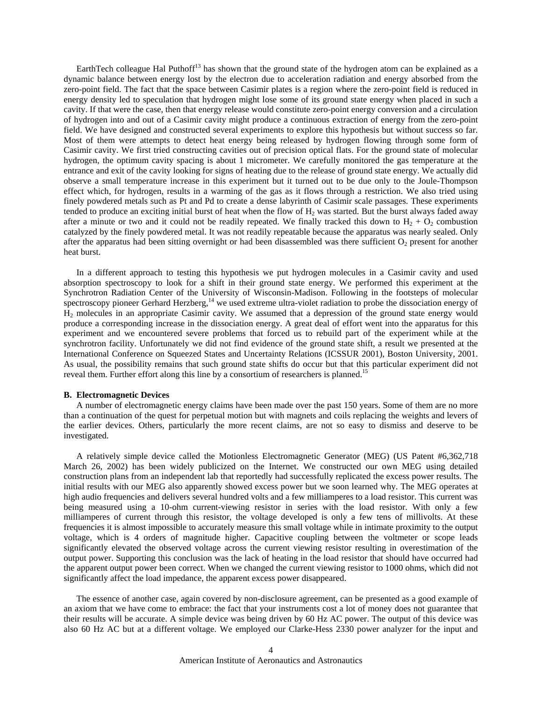EarthTech colleague Hal Puthoff<sup>13</sup> has shown that the ground state of the hydrogen atom can be explained as a dynamic balance between energy lost by the electron due to acceleration radiation and energy absorbed from the zero-point field. The fact that the space between Casimir plates is a region where the zero-point field is reduced in energy density led to speculation that hydrogen might lose some of its ground state energy when placed in such a cavity. If that were the case, then that energy release would constitute zero-point energy conversion and a circulation of hydrogen into and out of a Casimir cavity might produce a continuous extraction of energy from the zero-point field. We have designed and constructed several experiments to explore this hypothesis but without success so far. Most of them were attempts to detect heat energy being released by hydrogen flowing through some form of Casimir cavity. We first tried constructing cavities out of precision optical flats. For the ground state of molecular hydrogen, the optimum cavity spacing is about 1 micrometer. We carefully monitored the gas temperature at the entrance and exit of the cavity looking for signs of heating due to the release of ground state energy. We actually did observe a small temperature increase in this experiment but it turned out to be due only to the Joule-Thompson effect which, for hydrogen, results in a warming of the gas as it flows through a restriction. We also tried using finely powdered metals such as Pt and Pd to create a dense labyrinth of Casimir scale passages. These experiments tended to produce an exciting initial burst of heat when the flow of  $H_2$  was started. But the burst always faded away after a minute or two and it could not be readily repeated. We finally tracked this down to  $H_2 + O_2$  combustion catalyzed by the finely powdered metal. It was not readily repeatable because the apparatus was nearly sealed. Only after the apparatus had been sitting overnight or had been disassembled was there sufficient  $O<sub>2</sub>$  present for another heat burst.

In a different approach to testing this hypothesis we put hydrogen molecules in a Casimir cavity and used absorption spectroscopy to look for a shift in their ground state energy. We performed this experiment at the Synchrotron Radiation Center of the University of Wisconsin-Madison. Following in the footsteps of molecular spectroscopy pioneer Gerhard Herzberg,<sup>14</sup> we used extreme ultra-violet radiation to probe the dissociation energy of  $H_2$  molecules in an appropriate Casimir cavity. We assumed that a depression of the ground state energy would produce a corresponding increase in the dissociation energy. A great deal of effort went into the apparatus for this experiment and we encountered severe problems that forced us to rebuild part of the experiment while at the synchrotron facility. Unfortunately we did not find evidence of the ground state shift, a result we presented at the International Conference on Squeezed States and Uncertainty Relations (ICSSUR 2001), Boston University, 2001. As usual, the possibility remains that such ground state shifts do occur but that this particular experiment did not reveal them. Further effort along this line by a consortium of researchers is planned.<sup>15</sup>

#### **B. Electromagnetic Devices**

A number of electromagnetic energy claims have been made over the past 150 years. Some of them are no more than a continuation of the quest for perpetual motion but with magnets and coils replacing the weights and levers of the earlier devices. Others, particularly the more recent claims, are not so easy to dismiss and deserve to be investigated.

A relatively simple device called the Motionless Electromagnetic Generator (MEG) (US Patent #6,362,718 March 26, 2002) has been widely publicized on the Internet. We constructed our own MEG using detailed construction plans from an independent lab that reportedly had successfully replicated the excess power results. The initial results with our MEG also apparently showed excess power but we soon learned why. The MEG operates at high audio frequencies and delivers several hundred volts and a few milliamperes to a load resistor. This current was being measured using a 10-ohm current-viewing resistor in series with the load resistor. With only a few milliamperes of current through this resistor, the voltage developed is only a few tens of millivolts. At these frequencies it is almost impossible to accurately measure this small voltage while in intimate proximity to the output voltage, which is 4 orders of magnitude higher. Capacitive coupling between the voltmeter or scope leads significantly elevated the observed voltage across the current viewing resistor resulting in overestimation of the output power. Supporting this conclusion was the lack of heating in the load resistor that should have occurred had the apparent output power been correct. When we changed the current viewing resistor to 1000 ohms, which did not significantly affect the load impedance, the apparent excess power disappeared.

The essence of another case, again covered by non-disclosure agreement, can be presented as a good example of an axiom that we have come to embrace: the fact that your instruments cost a lot of money does not guarantee that their results will be accurate. A simple device was being driven by 60 Hz AC power. The output of this device was also 60 Hz AC but at a different voltage. We employed our Clarke-Hess 2330 power analyzer for the input and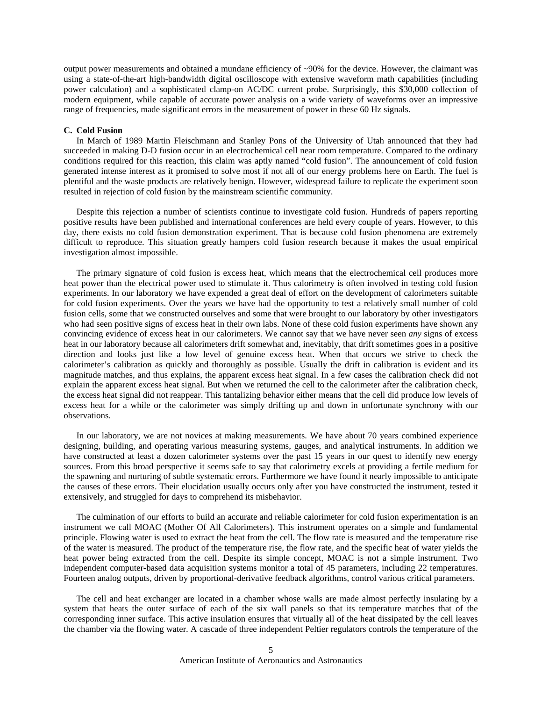output power measurements and obtained a mundane efficiency of ~90% for the device. However, the claimant was using a state-of-the-art high-bandwidth digital oscilloscope with extensive waveform math capabilities (including power calculation) and a sophisticated clamp-on AC/DC current probe. Surprisingly, this \$30,000 collection of modern equipment, while capable of accurate power analysis on a wide variety of waveforms over an impressive range of frequencies, made significant errors in the measurement of power in these 60 Hz signals.

#### **C. Cold Fusion**

In March of 1989 Martin Fleischmann and Stanley Pons of the University of Utah announced that they had succeeded in making D-D fusion occur in an electrochemical cell near room temperature. Compared to the ordinary conditions required for this reaction, this claim was aptly named "cold fusion". The announcement of cold fusion generated intense interest as it promised to solve most if not all of our energy problems here on Earth. The fuel is plentiful and the waste products are relatively benign. However, widespread failure to replicate the experiment soon resulted in rejection of cold fusion by the mainstream scientific community.

Despite this rejection a number of scientists continue to investigate cold fusion. Hundreds of papers reporting positive results have been published and international conferences are held every couple of years. However, to this day, there exists no cold fusion demonstration experiment. That is because cold fusion phenomena are extremely difficult to reproduce. This situation greatly hampers cold fusion research because it makes the usual empirical investigation almost impossible.

The primary signature of cold fusion is excess heat, which means that the electrochemical cell produces more heat power than the electrical power used to stimulate it. Thus calorimetry is often involved in testing cold fusion experiments. In our laboratory we have expended a great deal of effort on the development of calorimeters suitable for cold fusion experiments. Over the years we have had the opportunity to test a relatively small number of cold fusion cells, some that we constructed ourselves and some that were brought to our laboratory by other investigators who had seen positive signs of excess heat in their own labs. None of these cold fusion experiments have shown any convincing evidence of excess heat in our calorimeters. We cannot say that we have never seen *any* signs of excess heat in our laboratory because all calorimeters drift somewhat and, inevitably, that drift sometimes goes in a positive direction and looks just like a low level of genuine excess heat. When that occurs we strive to check the calorimeter's calibration as quickly and thoroughly as possible. Usually the drift in calibration is evident and its magnitude matches, and thus explains, the apparent excess heat signal. In a few cases the calibration check did not explain the apparent excess heat signal. But when we returned the cell to the calorimeter after the calibration check, the excess heat signal did not reappear. This tantalizing behavior either means that the cell did produce low levels of excess heat for a while or the calorimeter was simply drifting up and down in unfortunate synchrony with our observations.

In our laboratory, we are not novices at making measurements. We have about 70 years combined experience designing, building, and operating various measuring systems, gauges, and analytical instruments. In addition we have constructed at least a dozen calorimeter systems over the past 15 years in our quest to identify new energy sources. From this broad perspective it seems safe to say that calorimetry excels at providing a fertile medium for the spawning and nurturing of subtle systematic errors. Furthermore we have found it nearly impossible to anticipate the causes of these errors. Their elucidation usually occurs only after you have constructed the instrument, tested it extensively, and struggled for days to comprehend its misbehavior.

The culmination of our efforts to build an accurate and reliable calorimeter for cold fusion experimentation is an instrument we call MOAC (Mother Of All Calorimeters). This instrument operates on a simple and fundamental principle. Flowing water is used to extract the heat from the cell. The flow rate is measured and the temperature rise of the water is measured. The product of the temperature rise, the flow rate, and the specific heat of water yields the heat power being extracted from the cell. Despite its simple concept, MOAC is not a simple instrument. Two independent computer-based data acquisition systems monitor a total of 45 parameters, including 22 temperatures. Fourteen analog outputs, driven by proportional-derivative feedback algorithms, control various critical parameters.

The cell and heat exchanger are located in a chamber whose walls are made almost perfectly insulating by a system that heats the outer surface of each of the six wall panels so that its temperature matches that of the corresponding inner surface. This active insulation ensures that virtually all of the heat dissipated by the cell leaves the chamber via the flowing water. A cascade of three independent Peltier regulators controls the temperature of the